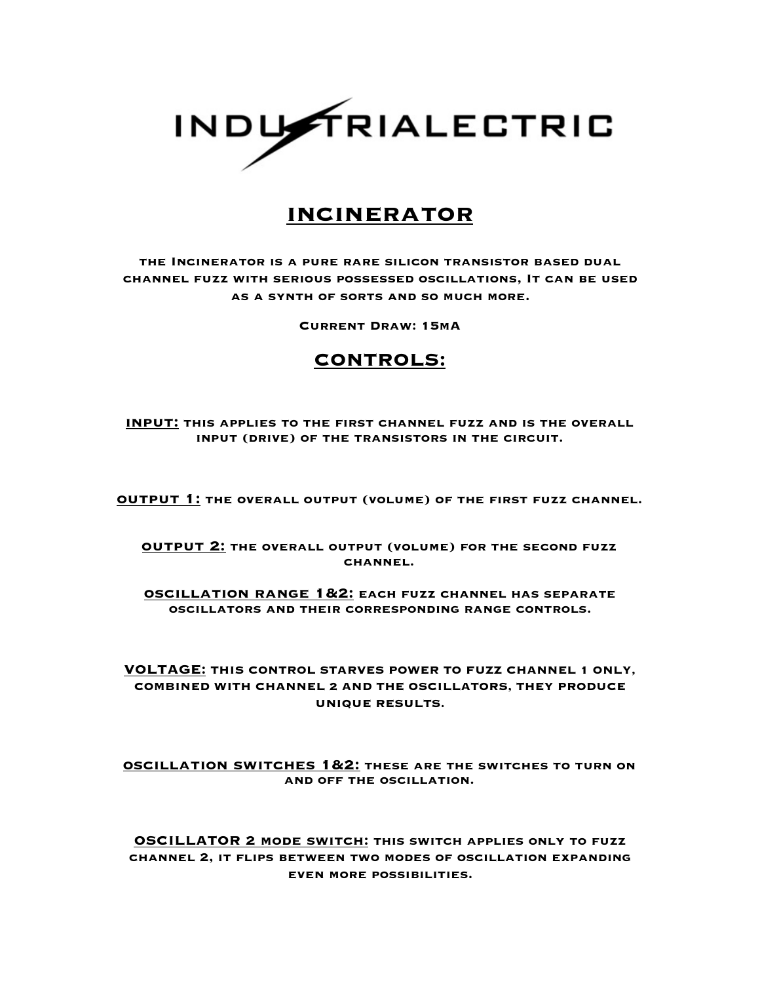

## **incinerator**

**the Incinerator is a pure rare silicon transistor based dual channel fuzz with serious possessed oscillations, It can be used as a synth of sorts and so much more.**

**Current Draw: 15mA**

## **CONTROLS:**

**input: this applies to the first channel fuzz and is the overall input (drive) of the transistors in the circuit.** 

**output 1: the overall output (volume) of the first fuzz channel.** 

**output 2: the overall output (volume) for the second fuzz channel.** 

**oscillation range 1&2: each fuzz channel has separate oscillators and their corresponding range controls.** 

**VOLTAGE: THIS CONTROL STARVES POWER TO FUZZ CHANNEL 1 ONLY, COMBINED WITH CHANNEL 2 AND THE OSCILLATORS, THEY PRODUCE UNIQUE RESULTS.** 

**oscillation switches 1&2: these are the switches to turn on and off the oscillation.** 

**OSCILLATOR 2 mode switch: this switch applies only to fuzz channel 2, it flips between two modes of oscillation expanding even more possibilities.**